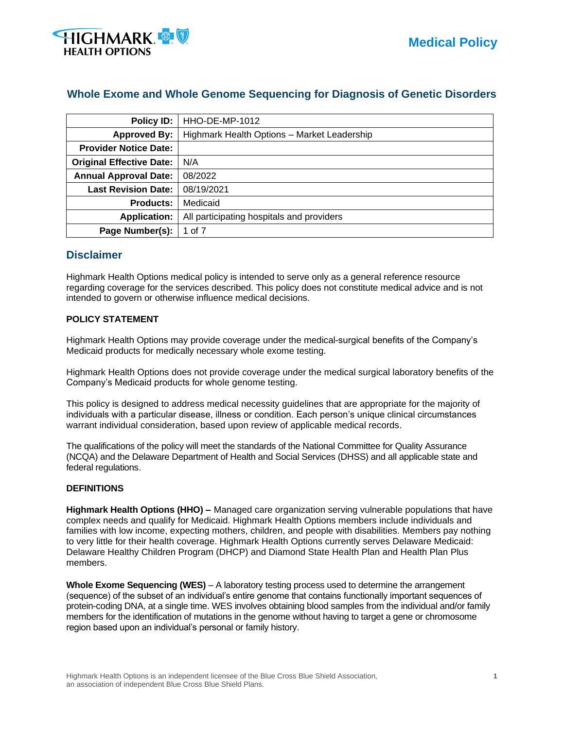

# **Whole Exome and Whole Genome Sequencing for Diagnosis of Genetic Disorders**

| Policy ID:                      | <b>HHO-DE-MP-1012</b>                       |
|---------------------------------|---------------------------------------------|
| <b>Approved By:</b>             | Highmark Health Options - Market Leadership |
| <b>Provider Notice Date:</b>    |                                             |
| <b>Original Effective Date:</b> | N/A                                         |
| <b>Annual Approval Date:</b>    | 08/2022                                     |
| <b>Last Revision Date:</b>      | 08/19/2021                                  |
| <b>Products:</b>                | Medicaid                                    |
| <b>Application:</b>             | All participating hospitals and providers   |
| Page Number(s):                 | 1 of 7                                      |

# **Disclaimer**

Highmark Health Options medical policy is intended to serve only as a general reference resource regarding coverage for the services described. This policy does not constitute medical advice and is not intended to govern or otherwise influence medical decisions.

### **POLICY STATEMENT**

Highmark Health Options may provide coverage under the medical-surgical benefits of the Company's Medicaid products for medically necessary whole exome testing.

Highmark Health Options does not provide coverage under the medical surgical laboratory benefits of the Company's Medicaid products for whole genome testing.

This policy is designed to address medical necessity guidelines that are appropriate for the majority of individuals with a particular disease, illness or condition. Each person's unique clinical circumstances warrant individual consideration, based upon review of applicable medical records.

The qualifications of the policy will meet the standards of the National Committee for Quality Assurance (NCQA) and the Delaware Department of Health and Social Services (DHSS) and all applicable state and federal regulations.

#### **DEFINITIONS**

**Highmark Health Options (HHO) –** Managed care organization serving vulnerable populations that have complex needs and qualify for Medicaid. Highmark Health Options members include individuals and families with low income, expecting mothers, children, and people with disabilities. Members pay nothing to very little for their health coverage. Highmark Health Options currently serves Delaware Medicaid: Delaware Healthy Children Program (DHCP) and Diamond State Health Plan and Health Plan Plus members.

**Whole Exome Sequencing (WES)** – A laboratory testing process used to determine the arrangement (sequence) of the subset of an individual's entire genome that contains functionally important sequences of protein-coding DNA, at a single time. WES involves obtaining blood samples from the individual and/or family members for the identification of mutations in the genome without having to target a gene or chromosome region based upon an individual's personal or family history.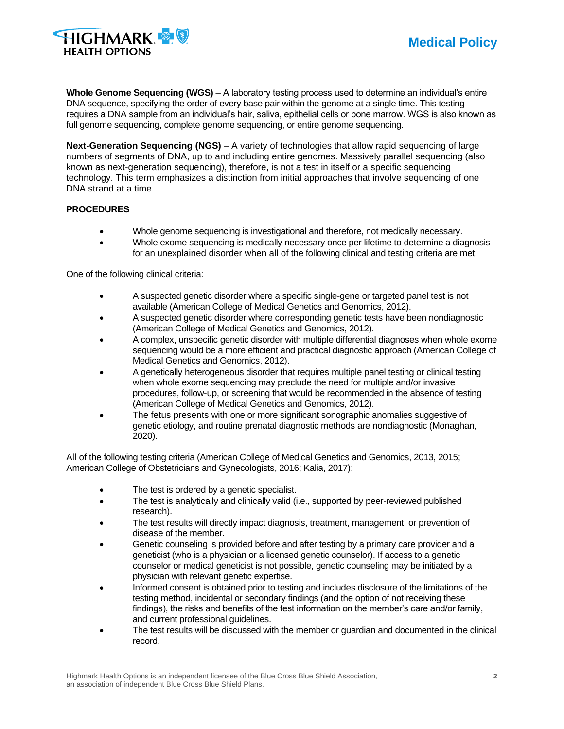

**Whole Genome Sequencing (WGS)** – A laboratory testing process used to determine an individual's entire DNA sequence, specifying the order of every base pair within the genome at a single time. This testing requires a DNA sample from an individual's hair, saliva, epithelial cells or bone marrow. WGS is also known as full genome sequencing, complete genome sequencing, or entire genome sequencing.

**Next-Generation Sequencing (NGS)** – A variety of technologies that allow rapid sequencing of large numbers of segments of DNA, up to and including entire genomes. Massively parallel sequencing (also known as next-generation sequencing), therefore, is not a test in itself or a specific sequencing technology. This term emphasizes a distinction from initial approaches that involve sequencing of one DNA strand at a time.

### **PROCEDURES**

- Whole genome sequencing is investigational and therefore, not medically necessary.
- Whole exome sequencing is medically necessary once per lifetime to determine a diagnosis for an unexplained disorder when all of the following clinical and testing criteria are met:

One of the following clinical criteria:

- A suspected genetic disorder where a specific single-gene or targeted panel test is not available (American College of Medical Genetics and Genomics, 2012).
- A suspected genetic disorder where corresponding genetic tests have been nondiagnostic (American College of Medical Genetics and Genomics, 2012).
- A complex, unspecific genetic disorder with multiple differential diagnoses when whole exome sequencing would be a more efficient and practical diagnostic approach (American College of Medical Genetics and Genomics, 2012).
- A genetically heterogeneous disorder that requires multiple panel testing or clinical testing when whole exome sequencing may preclude the need for multiple and/or invasive procedures, follow-up, or screening that would be recommended in the absence of testing (American College of Medical Genetics and Genomics, 2012).
- The fetus presents with one or more significant sonographic anomalies suggestive of genetic etiology, and routine prenatal diagnostic methods are nondiagnostic (Monaghan, 2020).

All of the following testing criteria (American College of Medical Genetics and Genomics, 2013, 2015; American College of Obstetricians and Gynecologists, 2016; Kalia, 2017):

- The test is ordered by a genetic specialist.
- The test is analytically and clinically valid (i.e., supported by peer-reviewed published research).
- The test results will directly impact diagnosis, treatment, management, or prevention of disease of the member.
- Genetic counseling is provided before and after testing by a primary care provider and a geneticist (who is a physician or a licensed genetic counselor). If access to a genetic counselor or medical geneticist is not possible, genetic counseling may be initiated by a physician with relevant genetic expertise.
- Informed consent is obtained prior to testing and includes disclosure of the limitations of the testing method, incidental or secondary findings (and the option of not receiving these findings), the risks and benefits of the test information on the member's care and/or family, and current professional guidelines.
- The test results will be discussed with the member or guardian and documented in the clinical record.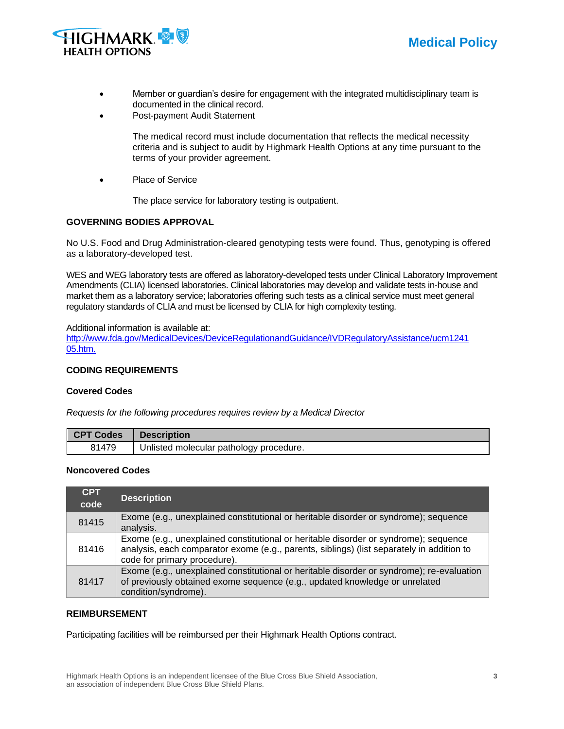



- Member or guardian's desire for engagement with the integrated multidisciplinary team is documented in the clinical record.
- Post-payment Audit Statement

The medical record must include documentation that reflects the medical necessity criteria and is subject to audit by Highmark Health Options at any time pursuant to the terms of your provider agreement.

Place of Service

The place service for laboratory testing is outpatient.

#### **GOVERNING BODIES APPROVAL**

No U.S. Food and Drug Administration-cleared genotyping tests were found. Thus, genotyping is offered as a laboratory-developed test.

WES and WEG laboratory tests are offered as laboratory-developed tests under Clinical Laboratory Improvement Amendments (CLIA) licensed laboratories. Clinical laboratories may develop and validate tests in-house and market them as a laboratory service; laboratories offering such tests as a clinical service must meet general regulatory standards of CLIA and must be licensed by CLIA for high complexity testing.

Additional information is available at:

<http://www.fda.gov/MedicalDevices/DeviceRegulationandGuidance/IVDRegulatoryAssistance/ucm1241> 05.htm.

#### **CODING REQUIREMENTS**

#### **Covered Codes**

*Requests for the following procedures requires review by a Medical Director*

| <b>CPT Codes</b> | <b>Description</b>                      |
|------------------|-----------------------------------------|
| 81479            | Unlisted molecular pathology procedure. |

#### **Noncovered Codes**

| <b>CPT</b><br>code | <b>Description</b>                                                                                                                                                                                                |
|--------------------|-------------------------------------------------------------------------------------------------------------------------------------------------------------------------------------------------------------------|
| 81415              | Exome (e.g., unexplained constitutional or heritable disorder or syndrome); sequence<br>analysis.                                                                                                                 |
| 81416              | Exome (e.g., unexplained constitutional or heritable disorder or syndrome); sequence<br>analysis, each comparator exome (e.g., parents, siblings) (list separately in addition to<br>code for primary procedure). |
| 81417              | Exome (e.g., unexplained constitutional or heritable disorder or syndrome); re-evaluation<br>of previously obtained exome sequence (e.g., updated knowledge or unrelated<br>condition/syndrome).                  |

#### **REIMBURSEMENT**

Participating facilities will be reimbursed per their Highmark Health Options contract.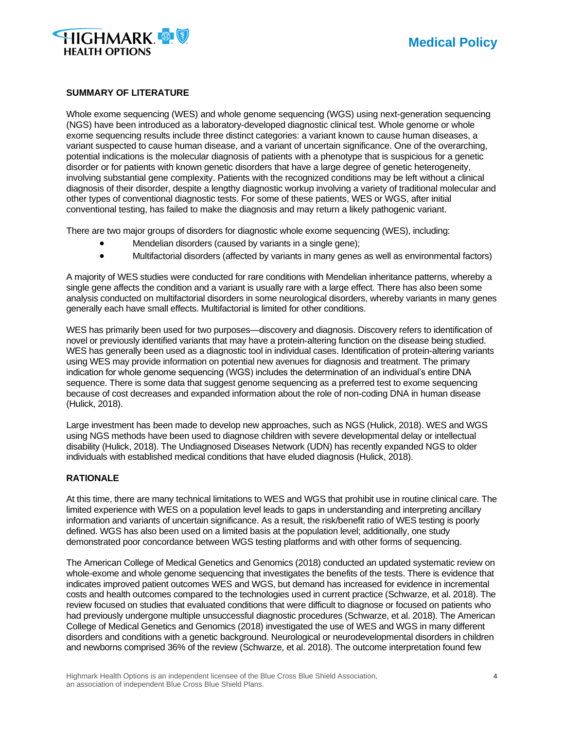

#### **SUMMARY OF LITERATURE**

Whole exome sequencing (WES) and whole genome sequencing (WGS) using next-generation sequencing (NGS) have been introduced as a laboratory-developed diagnostic clinical test. Whole genome or whole exome sequencing results include three distinct categories: a variant known to cause human diseases, a variant suspected to cause human disease, and a variant of uncertain significance. One of the overarching, potential indications is the molecular diagnosis of patients with a phenotype that is suspicious for a genetic disorder or for patients with known genetic disorders that have a large degree of genetic heterogeneity, involving substantial gene complexity. Patients with the recognized conditions may be left without a clinical diagnosis of their disorder, despite a lengthy diagnostic workup involving a variety of traditional molecular and other types of conventional diagnostic tests. For some of these patients, WES or WGS, after initial conventional testing, has failed to make the diagnosis and may return a likely pathogenic variant.

There are two major groups of disorders for diagnostic whole exome sequencing (WES), including:

- Mendelian disorders (caused by variants in a single gene);
- Multifactorial disorders (affected by variants in many genes as well as environmental factors)

A majority of WES studies were conducted for rare conditions with Mendelian inheritance patterns, whereby a single gene affects the condition and a variant is usually rare with a large effect. There has also been some analysis conducted on multifactorial disorders in some neurological disorders, whereby variants in many genes generally each have small effects. Multifactorial is limited for other conditions.

WES has primarily been used for two purposes—discovery and diagnosis. Discovery refers to identification of novel or previously identified variants that may have a protein-altering function on the disease being studied. WES has generally been used as a diagnostic tool in individual cases. Identification of protein-altering variants using WES may provide information on potential new avenues for diagnosis and treatment. The primary indication for whole genome sequencing (WGS) includes the determination of an individual's entire DNA sequence. There is some data that suggest genome sequencing as a preferred test to exome sequencing because of cost decreases and expanded information about the role of non-coding DNA in human disease (Hulick, 2018).

Large investment has been made to develop new approaches, such as NGS (Hulick, 2018). WES and WGS using NGS methods have been used to diagnose children with severe developmental delay or intellectual disability (Hulick, 2018). The Undiagnosed Diseases Network (UDN) has recently expanded NGS to older individuals with established medical conditions that have eluded diagnosis (Hulick, 2018).

#### **RATIONALE**

At this time, there are many technical limitations to WES and WGS that prohibit use in routine clinical care. The limited experience with WES on a population level leads to gaps in understanding and interpreting ancillary information and variants of uncertain significance. As a result, the risk/benefit ratio of WES testing is poorly defined. WGS has also been used on a limited basis at the population level; additionally, one study demonstrated poor concordance between WGS testing platforms and with other forms of sequencing.

The American College of Medical Genetics and Genomics (2018) conducted an updated systematic review on whole-exome and whole genome sequencing that investigates the benefits of the tests. There is evidence that indicates improved patient outcomes WES and WGS, but demand has increased for evidence in incremental costs and health outcomes compared to the technologies used in current practice (Schwarze, et al. 2018). The review focused on studies that evaluated conditions that were difficult to diagnose or focused on patients who had previously undergone multiple unsuccessful diagnostic procedures (Schwarze, et al. 2018). The American College of Medical Genetics and Genomics (2018) investigated the use of WES and WGS in many different disorders and conditions with a genetic background. Neurological or neurodevelopmental disorders in children and newborns comprised 36% of the review (Schwarze, et al. 2018). The outcome interpretation found few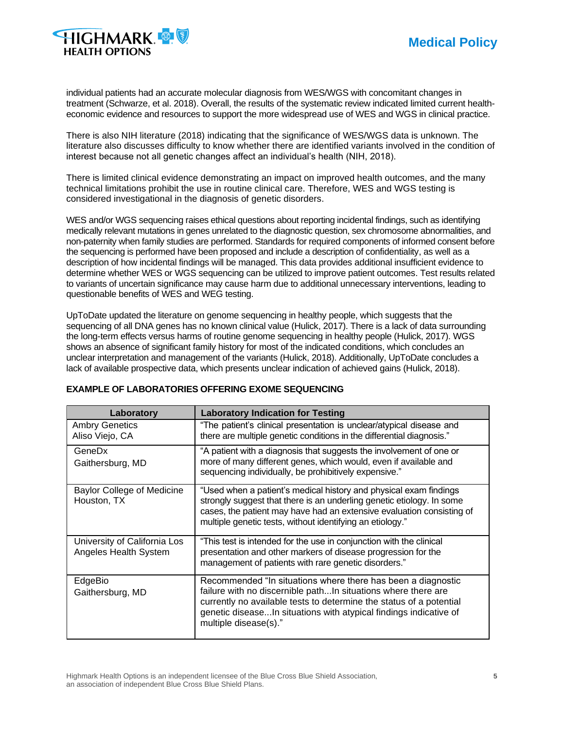

individual patients had an accurate molecular diagnosis from WES/WGS with concomitant changes in treatment (Schwarze, et al. 2018). Overall, the results of the systematic review indicated limited current healtheconomic evidence and resources to support the more widespread use of WES and WGS in clinical practice.

There is also NIH literature (2018) indicating that the significance of WES/WGS data is unknown. The literature also discusses difficulty to know whether there are identified variants involved in the condition of interest because not all genetic changes affect an individual's health (NIH, 2018).

There is limited clinical evidence demonstrating an impact on improved health outcomes, and the many technical limitations prohibit the use in routine clinical care. Therefore, WES and WGS testing is considered investigational in the diagnosis of genetic disorders.

WES and/or WGS sequencing raises ethical questions about reporting incidental findings, such as identifying medically relevant mutations in genes unrelated to the diagnostic question, sex chromosome abnormalities, and non-paternity when family studies are performed. Standards for required components of informed consent before the sequencing is performed have been proposed and include a description of confidentiality, as well as a description of how incidental findings will be managed. This data provides additional insufficient evidence to determine whether WES or WGS sequencing can be utilized to improve patient outcomes. Test results related to variants of uncertain significance may cause harm due to additional unnecessary interventions, leading to questionable benefits of WES and WEG testing.

UpToDate updated the literature on genome sequencing in healthy people, which suggests that the sequencing of all DNA genes has no known clinical value (Hulick, 2017). There is a lack of data surrounding the long-term effects versus harms of routine genome sequencing in healthy people (Hulick, 2017). WGS shows an absence of significant family history for most of the indicated conditions, which concludes an unclear interpretation and management of the variants (Hulick, 2018). Additionally, UpToDate concludes a lack of available prospective data, which presents unclear indication of achieved gains (Hulick, 2018).

| Laboratory                                            | <b>Laboratory Indication for Testing</b>                                                                                                                                                                                                                                                           |
|-------------------------------------------------------|----------------------------------------------------------------------------------------------------------------------------------------------------------------------------------------------------------------------------------------------------------------------------------------------------|
| <b>Ambry Genetics</b><br>Aliso Viejo, CA              | "The patient's clinical presentation is unclear/atypical disease and<br>there are multiple genetic conditions in the differential diagnosis."                                                                                                                                                      |
| GeneDx<br>Gaithersburg, MD                            | "A patient with a diagnosis that suggests the involvement of one or<br>more of many different genes, which would, even if available and<br>sequencing individually, be prohibitively expensive."                                                                                                   |
| <b>Baylor College of Medicine</b><br>Houston, TX      | "Used when a patient's medical history and physical exam findings<br>strongly suggest that there is an underling genetic etiology. In some<br>cases, the patient may have had an extensive evaluation consisting of<br>multiple genetic tests, without identifying an etiology."                   |
| University of California Los<br>Angeles Health System | "This test is intended for the use in conjunction with the clinical<br>presentation and other markers of disease progression for the<br>management of patients with rare genetic disorders."                                                                                                       |
| EdgeBio<br>Gaithersburg, MD                           | Recommended "In situations where there has been a diagnostic<br>failure with no discernible pathIn situations where there are<br>currently no available tests to determine the status of a potential<br>genetic diseaseIn situations with atypical findings indicative of<br>multiple disease(s)." |

### **EXAMPLE OF LABORATORIES OFFERING EXOME SEQUENCING**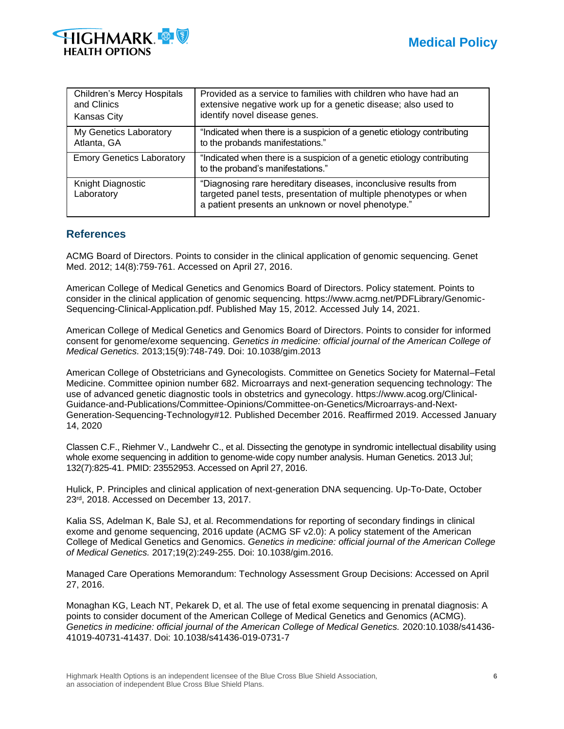

| <b>Children's Mercy Hospitals</b> | Provided as a service to families with children who have had an                                                                                                                            |
|-----------------------------------|--------------------------------------------------------------------------------------------------------------------------------------------------------------------------------------------|
| and Clinics                       | extensive negative work up for a genetic disease; also used to                                                                                                                             |
| Kansas City                       | identify novel disease genes.                                                                                                                                                              |
| My Genetics Laboratory            | "Indicated when there is a suspicion of a genetic etiology contributing                                                                                                                    |
| Atlanta, GA                       | to the probands manifestations."                                                                                                                                                           |
| <b>Emory Genetics Laboratory</b>  | "Indicated when there is a suspicion of a genetic etiology contributing<br>to the proband's manifestations."                                                                               |
| Knight Diagnostic<br>Laboratory   | "Diagnosing rare hereditary diseases, inconclusive results from<br>targeted panel tests, presentation of multiple phenotypes or when<br>a patient presents an unknown or novel phenotype." |

# **References**

ACMG Board of Directors. Points to consider in the clinical application of genomic sequencing. Genet Med. 2012; 14(8):759-761. Accessed on April 27, 2016.

American College of Medical Genetics and Genomics Board of Directors. Policy statement. Points to consider in the clinical application of genomic sequencing. https://www.acmg.net/PDFLibrary/Genomic-Sequencing-Clinical-Application.pdf. Published May 15, 2012. Accessed July 14, 2021.

American College of Medical Genetics and Genomics Board of Directors. Points to consider for informed consent for genome/exome sequencing. *Genetics in medicine: official journal of the American College of Medical Genetics.* 2013;15(9):748-749. Doi: 10.1038/gim.2013

American College of Obstetricians and Gynecologists. Committee on Genetics Society for Maternal–Fetal Medicine. Committee opinion number 682. Microarrays and next-generation sequencing technology: The use of advanced genetic diagnostic tools in obstetrics and gynecology. https://www.acog.org/Clinical-Guidance-and-Publications/Committee-Opinions/Committee-on-Genetics/Microarrays-and-Next-Generation-Sequencing-Technology#12. Published December 2016. Reaffirmed 2019. Accessed January 14, 2020

Classen C.F., Riehmer V., Landwehr C., et al. Dissecting the genotype in syndromic intellectual disability using whole exome sequencing in addition to genome-wide copy number analysis. Human Genetics. 2013 Jul; 132(7):825-41. PMID: 23552953. Accessed on April 27, 2016.

Hulick, P. Principles and clinical application of next-generation DNA sequencing. Up-To-Date, October 23rd, 2018. Accessed on December 13, 2017.

Kalia SS, Adelman K, Bale SJ, et al. Recommendations for reporting of secondary findings in clinical exome and genome sequencing, 2016 update (ACMG SF v2.0): A policy statement of the American College of Medical Genetics and Genomics. *Genetics in medicine: official journal of the American College of Medical Genetics.* 2017;19(2):249-255. Doi: 10.1038/gim.2016.

Managed Care Operations Memorandum: Technology Assessment Group Decisions: Accessed on April 27, 2016.

Monaghan KG, Leach NT, Pekarek D, et al. The use of fetal exome sequencing in prenatal diagnosis: A points to consider document of the American College of Medical Genetics and Genomics (ACMG). *Genetics in medicine: official journal of the American College of Medical Genetics.* 2020:10.1038/s41436- 41019-40731-41437. Doi: 10.1038/s41436-019-0731-7